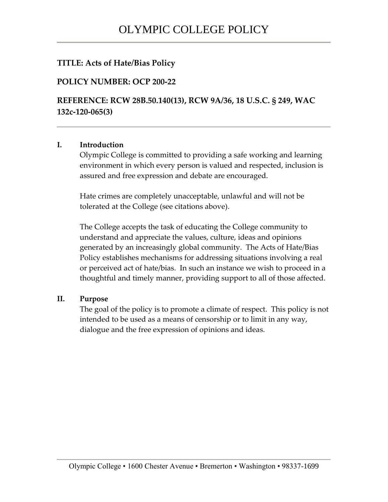## **TITLE: Acts of Hate/Bias Policy**

### **POLICY NUMBER: OCP 200-22**

**REFERENCE: RCW 28B.50.140(13), RCW 9A/36, 18 U.S.C. § 249, WAC 132c-120-065(3)**

#### **I. Introduction**

Olympic College is committed to providing a safe working and learning environment in which every person is valued and respected, inclusion is assured and free expression and debate are encouraged.

Hate crimes are completely unacceptable, unlawful and will not be tolerated at the College (see citations above).

The College accepts the task of educating the College community to understand and appreciate the values, culture, ideas and opinions generated by an increasingly global community. The Acts of Hate/Bias Policy establishes mechanisms for addressing situations involving a real or perceived act of hate/bias. In such an instance we wish to proceed in a thoughtful and timely manner, providing support to all of those affected.

#### **II. Purpose**

The goal of the policy is to promote a climate of respect. This policy is not intended to be used as a means of censorship or to limit in any way, dialogue and the free expression of opinions and ideas.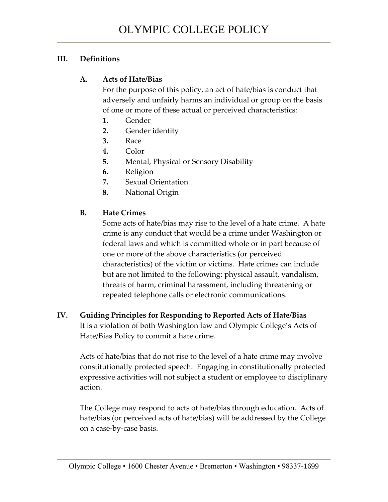## **III. Definitions**

## **A. Acts of Hate/Bias**

For the purpose of this policy, an act of hate/bias is conduct that adversely and unfairly harms an individual or group on the basis of one or more of these actual or perceived characteristics:

- **1.** Gender
- **2.** Gender identity
- **3.** Race
- **4.** Color
- **5.** Mental, Physical or Sensory Disability
- **6.** Religion
- **7.** Sexual Orientation
- **8.** National Origin

# **B. Hate Crimes**

Some acts of hate/bias may rise to the level of a hate crime. A hate crime is any conduct that would be a crime under Washington or federal laws and which is committed whole or in part because of one or more of the above characteristics (or perceived characteristics) of the victim or victims. Hate crimes can include but are not limited to the following: physical assault, vandalism, threats of harm, criminal harassment, including threatening or repeated telephone calls or electronic communications.

# **IV. Guiding Principles for Responding to Reported Acts of Hate/Bias** It is a violation of both Washington law and Olympic College's Acts of Hate/Bias Policy to commit a hate crime.

Acts of hate/bias that do not rise to the level of a hate crime may involve constitutionally protected speech. Engaging in constitutionally protected expressive activities will not subject a student or employee to disciplinary action.

The College may respond to acts of hate/bias through education. Acts of hate/bias (or perceived acts of hate/bias) will be addressed by the College on a case-by-case basis.